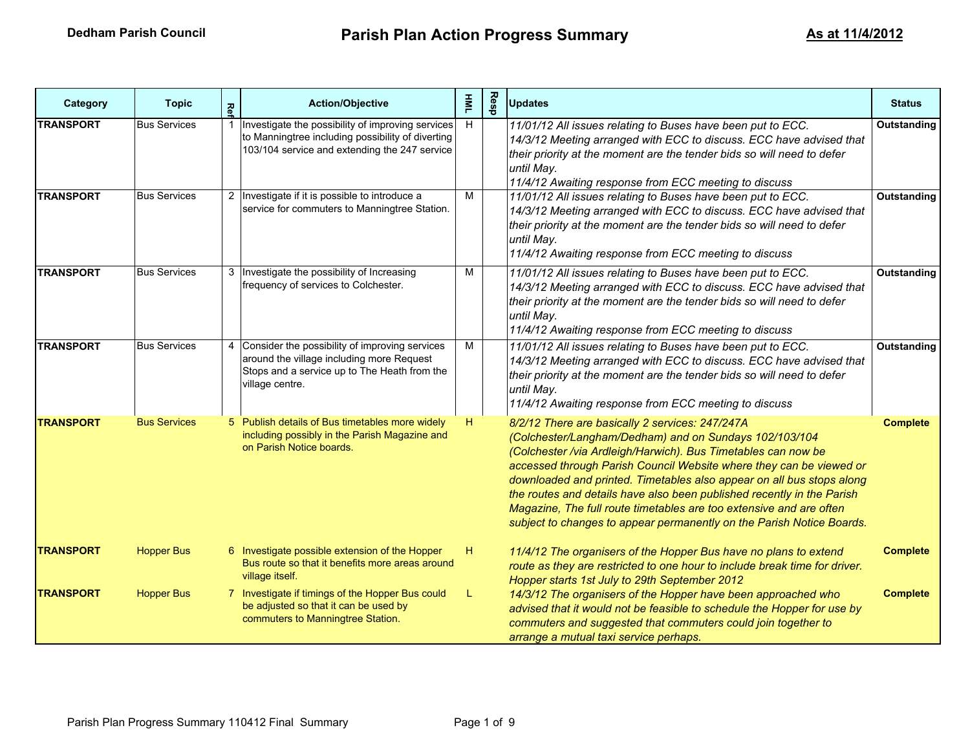| Category         | <b>Topic</b>        | Re | <b>Action/Objective</b>                                                                                                                                          | $\bar{\mathbf{z}}$ | Resp | <b>Updates</b>                                                                                                                                                                                                                                                                                                                                                                                                                                                                                                                                       | <b>Status</b>      |
|------------------|---------------------|----|------------------------------------------------------------------------------------------------------------------------------------------------------------------|--------------------|------|------------------------------------------------------------------------------------------------------------------------------------------------------------------------------------------------------------------------------------------------------------------------------------------------------------------------------------------------------------------------------------------------------------------------------------------------------------------------------------------------------------------------------------------------------|--------------------|
| <b>TRANSPORT</b> | <b>Bus Services</b> |    | Investigate the possibility of improving services<br>to Manningtree including possibility of diverting<br>103/104 service and extending the 247 service          | H                  |      | 11/01/12 All issues relating to Buses have been put to ECC.<br>14/3/12 Meeting arranged with ECC to discuss. ECC have advised that<br>their priority at the moment are the tender bids so will need to defer<br>until May.<br>11/4/12 Awaiting response from ECC meeting to discuss                                                                                                                                                                                                                                                                  | <b>Outstanding</b> |
| <b>TRANSPORT</b> | <b>Bus Services</b> |    | 2 Investigate if it is possible to introduce a<br>service for commuters to Manningtree Station.                                                                  | М                  |      | 11/01/12 All issues relating to Buses have been put to ECC.<br>14/3/12 Meeting arranged with ECC to discuss. ECC have advised that<br>their priority at the moment are the tender bids so will need to defer<br>until Mav.<br>11/4/12 Awaiting response from ECC meeting to discuss                                                                                                                                                                                                                                                                  | Outstanding        |
| <b>TRANSPORT</b> | <b>Bus Services</b> |    | 3   Investigate the possibility of Increasing<br>frequency of services to Colchester.                                                                            | М                  |      | 11/01/12 All issues relating to Buses have been put to ECC.<br>14/3/12 Meeting arranged with ECC to discuss. ECC have advised that<br>their priority at the moment are the tender bids so will need to defer<br>until May.<br>11/4/12 Awaiting response from ECC meeting to discuss                                                                                                                                                                                                                                                                  | Outstanding        |
| <b>TRANSPORT</b> | <b>Bus Services</b> |    | 4 Consider the possibility of improving services<br>around the village including more Request<br>Stops and a service up to The Heath from the<br>village centre. | M                  |      | 11/01/12 All issues relating to Buses have been put to ECC.<br>14/3/12 Meeting arranged with ECC to discuss. ECC have advised that<br>their priority at the moment are the tender bids so will need to defer<br>until Mav.<br>11/4/12 Awaiting response from ECC meeting to discuss                                                                                                                                                                                                                                                                  | Outstanding        |
| <b>TRANSPORT</b> | <b>Bus Services</b> |    | 5 Publish details of Bus timetables more widely<br>including possibly in the Parish Magazine and<br>on Parish Notice boards.                                     | H                  |      | 8/2/12 There are basically 2 services: 247/247A<br>(Colchester/Langham/Dedham) and on Sundays 102/103/104<br>(Colchester /via Ardleigh/Harwich). Bus Timetables can now be<br>accessed through Parish Council Website where they can be viewed or<br>downloaded and printed. Timetables also appear on all bus stops along<br>the routes and details have also been published recently in the Parish<br>Magazine, The full route timetables are too extensive and are often<br>subject to changes to appear permanently on the Parish Notice Boards. | <b>Complete</b>    |
| <b>TRANSPORT</b> | <b>Hopper Bus</b>   |    | 6 Investigate possible extension of the Hopper<br>Bus route so that it benefits more areas around<br>village itself.                                             | н.                 |      | 11/4/12 The organisers of the Hopper Bus have no plans to extend<br>route as they are restricted to one hour to include break time for driver.<br>Hopper starts 1st July to 29th September 2012                                                                                                                                                                                                                                                                                                                                                      | <b>Complete</b>    |
| <b>TRANSPORT</b> | <b>Hopper Bus</b>   |    | 7 Investigate if timings of the Hopper Bus could<br>be adjusted so that it can be used by<br>commuters to Manningtree Station.                                   | L                  |      | 14/3/12 The organisers of the Hopper have been approached who<br>advised that it would not be feasible to schedule the Hopper for use by<br>commuters and suggested that commuters could join together to<br>arrange a mutual taxi service perhaps.                                                                                                                                                                                                                                                                                                  | <b>Complete</b>    |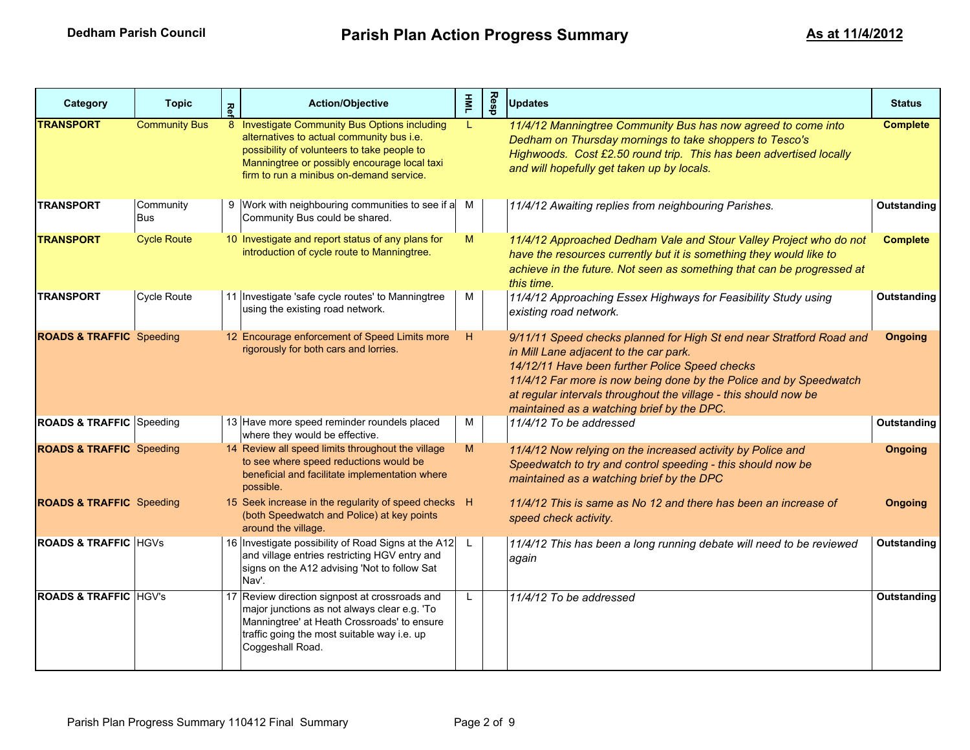| Category                            | <b>Topic</b>            | Re | <b>Action/Objective</b>                                                                                                                                                                                                               | $\overline{\mathbf{z}}$ | Resp | <b>Updates</b>                                                                                                                                                                                                                                                                                                                                           | <b>Status</b>   |
|-------------------------------------|-------------------------|----|---------------------------------------------------------------------------------------------------------------------------------------------------------------------------------------------------------------------------------------|-------------------------|------|----------------------------------------------------------------------------------------------------------------------------------------------------------------------------------------------------------------------------------------------------------------------------------------------------------------------------------------------------------|-----------------|
| <b>TRANSPORT</b>                    | <b>Community Bus</b>    |    | 8 Investigate Community Bus Options including<br>alternatives to actual community bus i.e.<br>possibility of volunteers to take people to<br>Manningtree or possibly encourage local taxi<br>firm to run a minibus on-demand service. |                         |      | 11/4/12 Manningtree Community Bus has now agreed to come into<br>Dedham on Thursday mornings to take shoppers to Tesco's<br>Highwoods. Cost £2.50 round trip. This has been advertised locally<br>and will hopefully get taken up by locals.                                                                                                             | <b>Complete</b> |
| <b>TRANSPORT</b>                    | Community<br><b>Bus</b> |    | 9 Work with neighbouring communities to see if a M<br>Community Bus could be shared.                                                                                                                                                  |                         |      | 11/4/12 Awaiting replies from neighbouring Parishes.                                                                                                                                                                                                                                                                                                     | Outstanding     |
| <b>TRANSPORT</b>                    | <b>Cycle Route</b>      |    | 10 Investigate and report status of any plans for<br>introduction of cycle route to Manningtree.                                                                                                                                      | M                       |      | 11/4/12 Approached Dedham Vale and Stour Valley Project who do not<br>have the resources currently but it is something they would like to<br>achieve in the future. Not seen as something that can be progressed at<br>this time.                                                                                                                        | <b>Complete</b> |
| <b>TRANSPORT</b>                    | Cycle Route             |    | 11 Investigate 'safe cycle routes' to Manningtree<br>using the existing road network.                                                                                                                                                 | м                       |      | 11/4/12 Approaching Essex Highways for Feasibility Study using<br>existing road network.                                                                                                                                                                                                                                                                 | Outstanding     |
| <b>ROADS &amp; TRAFFIC Speeding</b> |                         |    | 12 Encourage enforcement of Speed Limits more<br>rigorously for both cars and lorries.                                                                                                                                                | H                       |      | 9/11/11 Speed checks planned for High St end near Stratford Road and<br>in Mill Lane adjacent to the car park.<br>14/12/11 Have been further Police Speed checks<br>11/4/12 Far more is now being done by the Police and by Speedwatch<br>at regular intervals throughout the village - this should now be<br>maintained as a watching brief by the DPC. | <b>Ongoing</b>  |
| <b>ROADS &amp; TRAFFIC Speeding</b> |                         |    | 13 Have more speed reminder roundels placed<br>where they would be effective.                                                                                                                                                         | м                       |      | 11/4/12 To be addressed                                                                                                                                                                                                                                                                                                                                  | Outstanding     |
| <b>ROADS &amp; TRAFFIC</b> Speeding |                         |    | 14 Review all speed limits throughout the village<br>to see where speed reductions would be<br>beneficial and facilitate implementation where<br>possible.                                                                            | M                       |      | 11/4/12 Now relying on the increased activity by Police and<br>Speedwatch to try and control speeding - this should now be<br>maintained as a watching brief by the DPC                                                                                                                                                                                  | <b>Ongoing</b>  |
| <b>ROADS &amp; TRAFFIC</b> Speeding |                         |    | 15 Seek increase in the regularity of speed checks H<br>(both Speedwatch and Police) at key points<br>around the village.                                                                                                             |                         |      | 11/4/12 This is same as No 12 and there has been an increase of<br>speed check activity.                                                                                                                                                                                                                                                                 | <b>Ongoing</b>  |
| <b>ROADS &amp; TRAFFIC HGVS</b>     |                         |    | 16 Investigate possibility of Road Signs at the A12<br>and village entries restricting HGV entry and<br>signs on the A12 advising 'Not to follow Sat<br>Nav'.                                                                         | L.                      |      | 11/4/12 This has been a long running debate will need to be reviewed<br>again                                                                                                                                                                                                                                                                            | Outstanding     |
| <b>ROADS &amp; TRAFFIC HGV's</b>    |                         |    | 17 Review direction signpost at crossroads and<br>major junctions as not always clear e.g. 'To<br>Manningtree' at Heath Crossroads' to ensure<br>traffic going the most suitable way i.e. up<br>Coggeshall Road.                      | L                       |      | 11/4/12 To be addressed                                                                                                                                                                                                                                                                                                                                  | Outstanding     |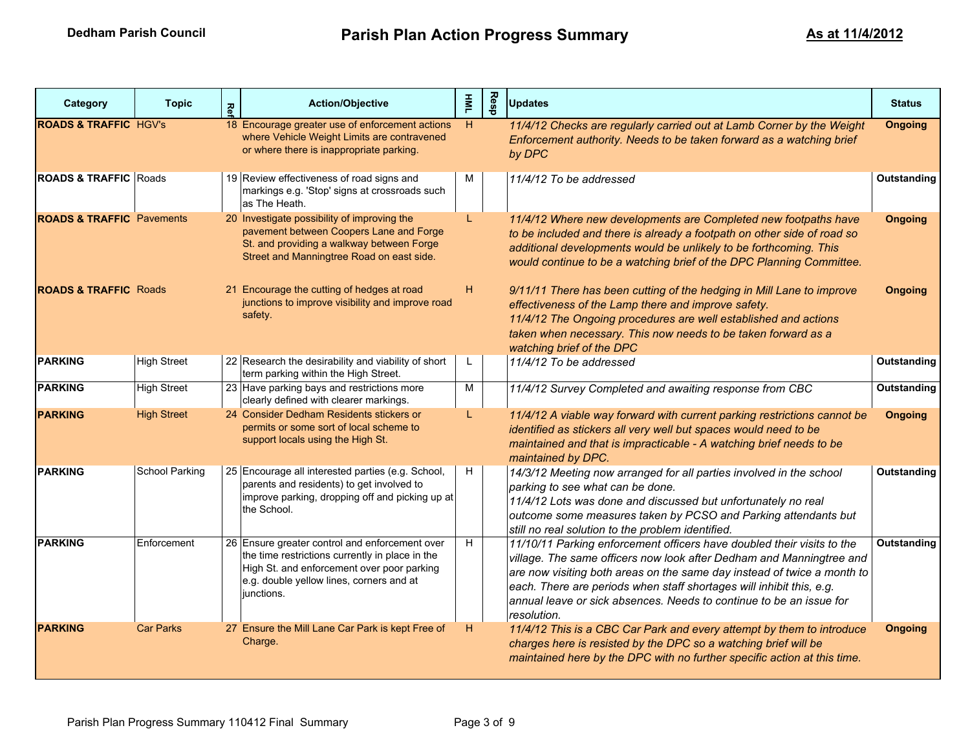| Category                             | <b>Topic</b>       | Re | <b>Action/Objective</b>                                                                                                                                                                                   | $\overline{\mathbf{z}}$ | Resp | <b>Updates</b>                                                                                                                                                                                                                                                                                                                                                                          | <b>Status</b>  |
|--------------------------------------|--------------------|----|-----------------------------------------------------------------------------------------------------------------------------------------------------------------------------------------------------------|-------------------------|------|-----------------------------------------------------------------------------------------------------------------------------------------------------------------------------------------------------------------------------------------------------------------------------------------------------------------------------------------------------------------------------------------|----------------|
| <b>ROADS &amp; TRAFFIC HGV's</b>     |                    |    | 18 Encourage greater use of enforcement actions<br>where Vehicle Weight Limits are contravened<br>or where there is inappropriate parking.                                                                | H                       |      | 11/4/12 Checks are regularly carried out at Lamb Corner by the Weight<br>Enforcement authority. Needs to be taken forward as a watching brief<br>by DPC                                                                                                                                                                                                                                 | <b>Ongoing</b> |
| <b>ROADS &amp; TRAFFIC Roads</b>     |                    |    | 19 Review effectiveness of road signs and<br>markings e.g. 'Stop' signs at crossroads such<br>as The Heath.                                                                                               | м                       |      | 11/4/12 To be addressed                                                                                                                                                                                                                                                                                                                                                                 | Outstanding    |
| <b>ROADS &amp; TRAFFIC Pavements</b> |                    |    | 20 Investigate possibility of improving the<br>pavement between Coopers Lane and Forge<br>St. and providing a walkway between Forge<br>Street and Manningtree Road on east side.                          | L                       |      | 11/4/12 Where new developments are Completed new footpaths have<br>to be included and there is already a footpath on other side of road so<br>additional developments would be unlikely to be forthcoming. This<br>would continue to be a watching brief of the DPC Planning Committee.                                                                                                 | <b>Ongoing</b> |
| <b>ROADS &amp; TRAFFIC Roads</b>     |                    |    | 21 Encourage the cutting of hedges at road<br>junctions to improve visibility and improve road<br>safety.                                                                                                 | H                       |      | 9/11/11 There has been cutting of the hedging in Mill Lane to improve<br>effectiveness of the Lamp there and improve safety.<br>11/4/12 The Ongoing procedures are well established and actions<br>taken when necessary. This now needs to be taken forward as a<br>watching brief of the DPC                                                                                           | <b>Ongoing</b> |
| <b>PARKING</b>                       | <b>High Street</b> |    | 22 Research the desirability and viability of short<br>term parking within the High Street.                                                                                                               | L.                      |      | 11/4/12 To be addressed                                                                                                                                                                                                                                                                                                                                                                 | Outstanding    |
| <b>PARKING</b>                       | <b>High Street</b> |    | 23 Have parking bays and restrictions more<br>clearly defined with clearer markings.                                                                                                                      | М                       |      | 11/4/12 Survey Completed and awaiting response from CBC                                                                                                                                                                                                                                                                                                                                 | Outstanding    |
| <b>PARKING</b>                       | <b>High Street</b> |    | 24 Consider Dedham Residents stickers or<br>permits or some sort of local scheme to<br>support locals using the High St.                                                                                  | L                       |      | 11/4/12 A viable way forward with current parking restrictions cannot be<br>identified as stickers all very well but spaces would need to be<br>maintained and that is impracticable - A watching brief needs to be<br>maintained by DPC.                                                                                                                                               | <b>Ongoing</b> |
| <b>PARKING</b>                       | School Parking     |    | 25 Encourage all interested parties (e.g. School,<br>parents and residents) to get involved to<br>improve parking, dropping off and picking up at<br>the School.                                          | H                       |      | 14/3/12 Meeting now arranged for all parties involved in the school<br>parking to see what can be done.<br>11/4/12 Lots was done and discussed but unfortunately no real<br>outcome some measures taken by PCSO and Parking attendants but<br>still no real solution to the problem identified.                                                                                         | Outstanding    |
| <b>PARKING</b>                       | Enforcement        |    | 26 Ensure greater control and enforcement over<br>the time restrictions currently in place in the<br>High St. and enforcement over poor parking<br>e.g. double yellow lines, corners and at<br>junctions. | H                       |      | 11/10/11 Parking enforcement officers have doubled their visits to the<br>village. The same officers now look after Dedham and Manningtree and<br>are now visiting both areas on the same day instead of twice a month to<br>each. There are periods when staff shortages will inhibit this, e.g.<br>annual leave or sick absences. Needs to continue to be an issue for<br>resolution. | Outstanding    |
| <b>PARKING</b>                       | <b>Car Parks</b>   |    | 27 Ensure the Mill Lane Car Park is kept Free of<br>Charge.                                                                                                                                               | H                       |      | 11/4/12 This is a CBC Car Park and every attempt by them to introduce<br>charges here is resisted by the DPC so a watching brief will be<br>maintained here by the DPC with no further specific action at this time.                                                                                                                                                                    | <b>Ongoing</b> |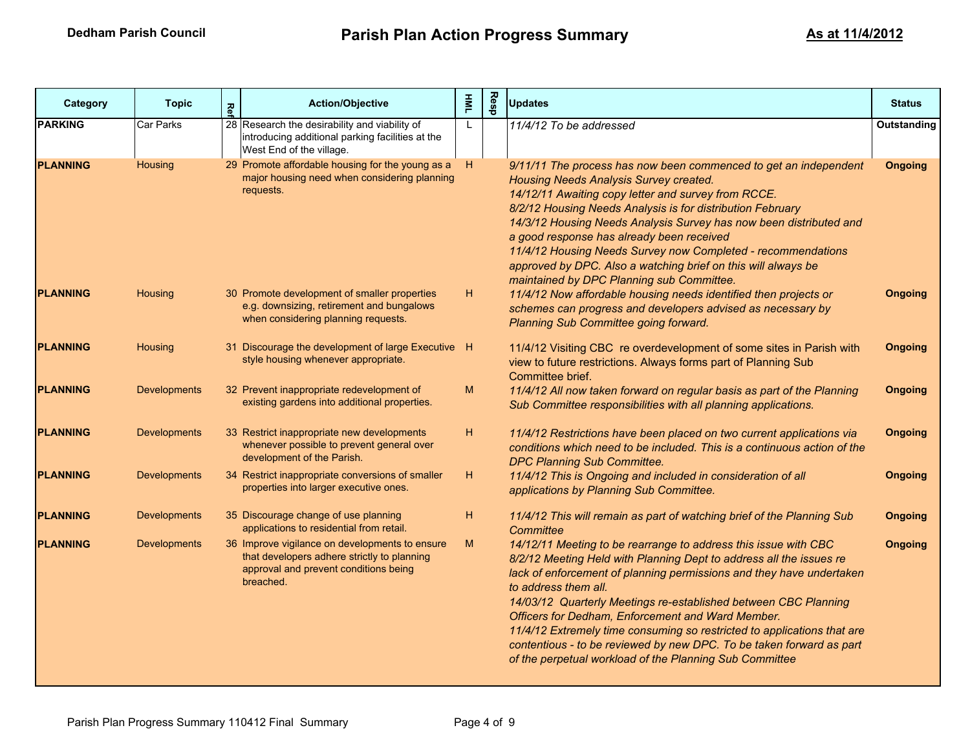| Category        | <b>Topic</b>        | Re | <b>Action/Objective</b>                                                                                                                             | $\overline{\mathbf{R}}$ | Resp | <b>Updates</b>                                                                                                                                                                                                                                                                                                                                                                                                                                                                                                                                                               | <b>Status</b>  |
|-----------------|---------------------|----|-----------------------------------------------------------------------------------------------------------------------------------------------------|-------------------------|------|------------------------------------------------------------------------------------------------------------------------------------------------------------------------------------------------------------------------------------------------------------------------------------------------------------------------------------------------------------------------------------------------------------------------------------------------------------------------------------------------------------------------------------------------------------------------------|----------------|
| <b>PARKING</b>  | Car Parks           |    | 28 Research the desirability and viability of<br>introducing additional parking facilities at the<br>West End of the village.                       | L                       |      | 11/4/12 To be addressed                                                                                                                                                                                                                                                                                                                                                                                                                                                                                                                                                      | Outstanding    |
| <b>PLANNING</b> | Housing             |    | 29 Promote affordable housing for the young as a<br>major housing need when considering planning<br>requests.                                       | H                       |      | 9/11/11 The process has now been commenced to get an independent<br>Housing Needs Analysis Survey created.<br>14/12/11 Awaiting copy letter and survey from RCCE.<br>8/2/12 Housing Needs Analysis is for distribution February<br>14/3/12 Housing Needs Analysis Survey has now been distributed and<br>a good response has already been received<br>11/4/12 Housing Needs Survey now Completed - recommendations<br>approved by DPC. Also a watching brief on this will always be<br>maintained by DPC Planning sub Committee.                                             | <b>Ongoing</b> |
| <b>PLANNING</b> | Housing             |    | 30 Promote development of smaller properties<br>e.g. downsizing, retirement and bungalows<br>when considering planning requests.                    | Η.                      |      | 11/4/12 Now affordable housing needs identified then projects or<br>schemes can progress and developers advised as necessary by<br>Planning Sub Committee going forward.                                                                                                                                                                                                                                                                                                                                                                                                     | <b>Ongoing</b> |
| <b>PLANNING</b> | Housing             |    | 31 Discourage the development of large Executive H<br>style housing whenever appropriate.                                                           |                         |      | 11/4/12 Visiting CBC re overdevelopment of some sites in Parish with<br>view to future restrictions. Always forms part of Planning Sub<br>Committee brief.                                                                                                                                                                                                                                                                                                                                                                                                                   | <b>Ongoing</b> |
| <b>PLANNING</b> | <b>Developments</b> |    | 32 Prevent inappropriate redevelopment of<br>existing gardens into additional properties.                                                           | M                       |      | 11/4/12 All now taken forward on regular basis as part of the Planning<br>Sub Committee responsibilities with all planning applications.                                                                                                                                                                                                                                                                                                                                                                                                                                     | <b>Ongoing</b> |
| <b>PLANNING</b> | <b>Developments</b> |    | 33 Restrict inappropriate new developments<br>whenever possible to prevent general over<br>development of the Parish.                               | H                       |      | 11/4/12 Restrictions have been placed on two current applications via<br>conditions which need to be included. This is a continuous action of the<br>DPC Planning Sub Committee.                                                                                                                                                                                                                                                                                                                                                                                             | <b>Ongoing</b> |
| <b>PLANNING</b> | <b>Developments</b> |    | 34 Restrict inappropriate conversions of smaller<br>properties into larger executive ones.                                                          | H.                      |      | 11/4/12 This is Ongoing and included in consideration of all<br>applications by Planning Sub Committee.                                                                                                                                                                                                                                                                                                                                                                                                                                                                      | <b>Ongoing</b> |
| <b>PLANNING</b> | <b>Developments</b> |    | 35 Discourage change of use planning<br>applications to residential from retail.                                                                    | H                       |      | 11/4/12 This will remain as part of watching brief of the Planning Sub<br>Committee                                                                                                                                                                                                                                                                                                                                                                                                                                                                                          | <b>Ongoing</b> |
| <b>PLANNING</b> | <b>Developments</b> |    | 36 Improve vigilance on developments to ensure<br>that developers adhere strictly to planning<br>approval and prevent conditions being<br>breached. | M                       |      | 14/12/11 Meeting to be rearrange to address this issue with CBC<br>8/2/12 Meeting Held with Planning Dept to address all the issues re<br>lack of enforcement of planning permissions and they have undertaken<br>to address them all.<br>14/03/12 Quarterly Meetings re-established between CBC Planning<br>Officers for Dedham, Enforcement and Ward Member.<br>11/4/12 Extremely time consuming so restricted to applications that are<br>contentious - to be reviewed by new DPC. To be taken forward as part<br>of the perpetual workload of the Planning Sub Committee | <b>Ongoing</b> |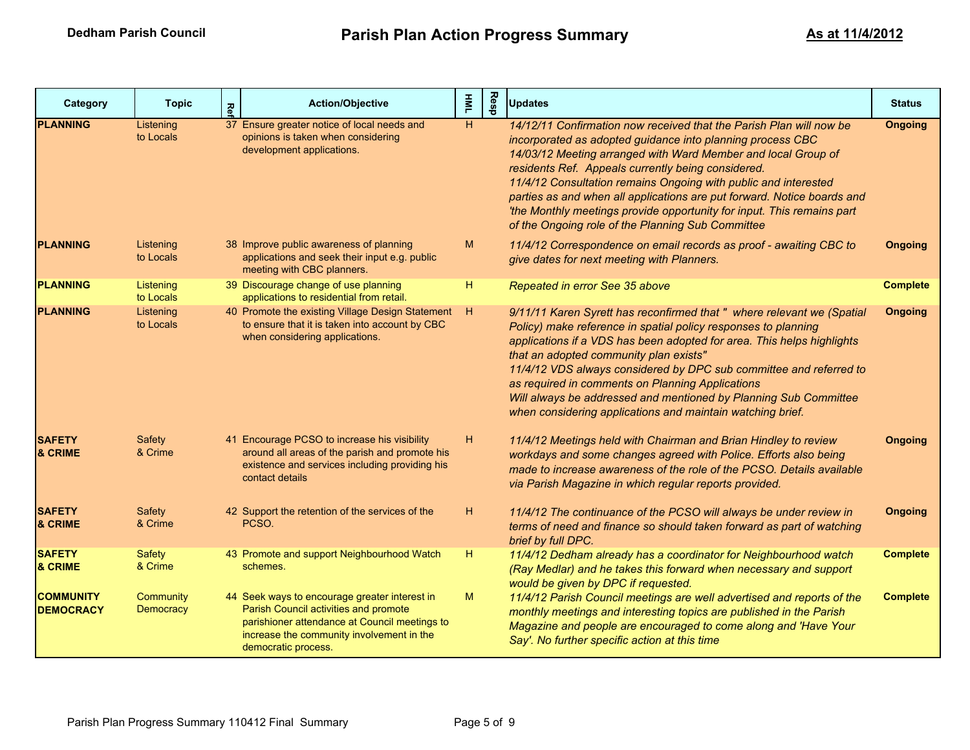| Category                             | <b>Topic</b>                  | Κêι | <b>Action/Objective</b>                                                                                                                                                                                     | $\overline{\mathbf{M}}$ | Resp | <b>Updates</b>                                                                                                                                                                                                                                                                                                                                                                                                                                                                                                                        | <b>Status</b>   |
|--------------------------------------|-------------------------------|-----|-------------------------------------------------------------------------------------------------------------------------------------------------------------------------------------------------------------|-------------------------|------|---------------------------------------------------------------------------------------------------------------------------------------------------------------------------------------------------------------------------------------------------------------------------------------------------------------------------------------------------------------------------------------------------------------------------------------------------------------------------------------------------------------------------------------|-----------------|
| <b>PLANNING</b>                      | Listening<br>to Locals        |     | 37 Ensure greater notice of local needs and<br>opinions is taken when considering<br>development applications.                                                                                              | H                       |      | 14/12/11 Confirmation now received that the Parish Plan will now be<br>incorporated as adopted guidance into planning process CBC<br>14/03/12 Meeting arranged with Ward Member and local Group of<br>residents Ref. Appeals currently being considered.<br>11/4/12 Consultation remains Ongoing with public and interested<br>parties as and when all applications are put forward. Notice boards and<br>'the Monthly meetings provide opportunity for input. This remains part<br>of the Ongoing role of the Planning Sub Committee | <b>Ongoing</b>  |
| <b>PLANNING</b>                      | Listening<br>to Locals        |     | 38 Improve public awareness of planning<br>applications and seek their input e.g. public<br>meeting with CBC planners.                                                                                      | M                       |      | 11/4/12 Correspondence on email records as proof - awaiting CBC to<br>give dates for next meeting with Planners.                                                                                                                                                                                                                                                                                                                                                                                                                      | <b>Ongoing</b>  |
| <b>PLANNING</b>                      | Listening<br>to Locals        |     | 39 Discourage change of use planning<br>applications to residential from retail.                                                                                                                            | Н.                      |      | Repeated in error See 35 above                                                                                                                                                                                                                                                                                                                                                                                                                                                                                                        | <b>Complete</b> |
| <b>PLANNING</b>                      | Listening<br>to Locals        |     | 40 Promote the existing Village Design Statement<br>to ensure that it is taken into account by CBC<br>when considering applications.                                                                        | H                       |      | 9/11/11 Karen Syrett has reconfirmed that " where relevant we (Spatial<br>Policy) make reference in spatial policy responses to planning<br>applications if a VDS has been adopted for area. This helps highlights<br>that an adopted community plan exists"<br>11/4/12 VDS always considered by DPC sub committee and referred to<br>as required in comments on Planning Applications<br>Will always be addressed and mentioned by Planning Sub Committee<br>when considering applications and maintain watching brief.              | <b>Ongoing</b>  |
| <b>SAFETY</b><br><b>&amp; CRIME</b>  | Safety<br>& Crime             |     | 41 Encourage PCSO to increase his visibility<br>around all areas of the parish and promote his<br>existence and services including providing his<br>contact details                                         | н.                      |      | 11/4/12 Meetings held with Chairman and Brian Hindley to review<br>workdays and some changes agreed with Police. Efforts also being<br>made to increase awareness of the role of the PCSO. Details available<br>via Parish Magazine in which regular reports provided.                                                                                                                                                                                                                                                                | <b>Ongoing</b>  |
| <b>SAFETY</b><br>& CRIME             | <b>Safety</b><br>& Crime      |     | 42 Support the retention of the services of the<br>PCSO.                                                                                                                                                    | H                       |      | 11/4/12 The continuance of the PCSO will always be under review in<br>terms of need and finance so should taken forward as part of watching<br>brief by full DPC.                                                                                                                                                                                                                                                                                                                                                                     | <b>Ongoing</b>  |
| <b>SAFETY</b><br>& CRIME             | Safety<br>& Crime             |     | 43 Promote and support Neighbourhood Watch<br>schemes.                                                                                                                                                      | н.                      |      | 11/4/12 Dedham already has a coordinator for Neighbourhood watch<br>(Ray Medlar) and he takes this forward when necessary and support<br>would be given by DPC if requested.                                                                                                                                                                                                                                                                                                                                                          | <b>Complete</b> |
| <b>COMMUNITY</b><br><b>DEMOCRACY</b> | Community<br><b>Democracy</b> |     | 44 Seek ways to encourage greater interest in<br>Parish Council activities and promote<br>parishioner attendance at Council meetings to<br>increase the community involvement in the<br>democratic process. | M                       |      | 11/4/12 Parish Council meetings are well advertised and reports of the<br>monthly meetings and interesting topics are published in the Parish<br>Magazine and people are encouraged to come along and 'Have Your<br>Say'. No further specific action at this time                                                                                                                                                                                                                                                                     | <b>Complete</b> |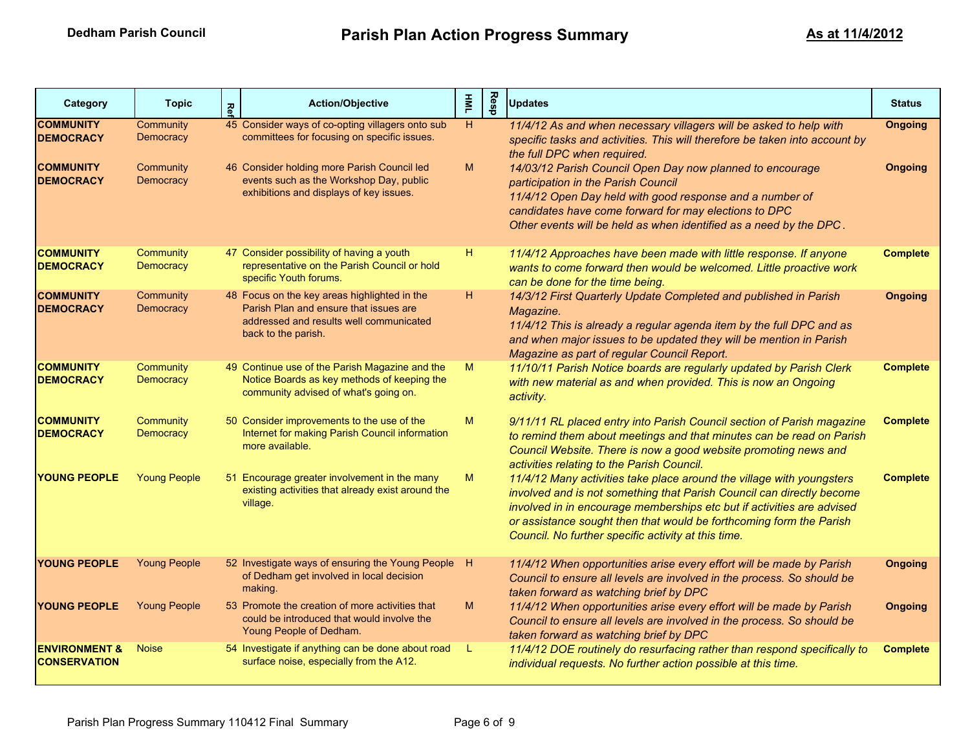| Category                                                                     | <b>Topic</b>                                     | Rе | <b>Action/Objective</b>                                                                                                                                                                                                              | $\overline{\mathbf{z}}$ | Resp | <b>Updates</b>                                                                                                                                                                                                                                                                                                                                                                                                                                                                  | <b>Status</b>                    |
|------------------------------------------------------------------------------|--------------------------------------------------|----|--------------------------------------------------------------------------------------------------------------------------------------------------------------------------------------------------------------------------------------|-------------------------|------|---------------------------------------------------------------------------------------------------------------------------------------------------------------------------------------------------------------------------------------------------------------------------------------------------------------------------------------------------------------------------------------------------------------------------------------------------------------------------------|----------------------------------|
| <b>COMMUNITY</b><br><b>DEMOCRACY</b><br><b>COMMUNITY</b><br><b>DEMOCRACY</b> | Community<br>Democracy<br>Community<br>Democracy |    | 45 Consider ways of co-opting villagers onto sub<br>committees for focusing on specific issues.<br>46 Consider holding more Parish Council led<br>events such as the Workshop Day, public<br>exhibitions and displays of key issues. | H<br>M                  |      | 11/4/12 As and when necessary villagers will be asked to help with<br>specific tasks and activities. This will therefore be taken into account by<br>the full DPC when required.<br>14/03/12 Parish Council Open Day now planned to encourage<br>participation in the Parish Council<br>11/4/12 Open Day held with good response and a number of<br>candidates have come forward for may elections to DPC<br>Other events will be held as when identified as a need by the DPC. | <b>Ongoing</b><br><b>Ongoing</b> |
| <b>COMMUNITY</b><br><b>DEMOCRACY</b>                                         | Community<br>Democracy                           |    | 47 Consider possibility of having a youth<br>representative on the Parish Council or hold<br>specific Youth forums.                                                                                                                  | H.                      |      | 11/4/12 Approaches have been made with little response. If anyone<br>wants to come forward then would be welcomed. Little proactive work<br>can be done for the time being.                                                                                                                                                                                                                                                                                                     | <b>Complete</b>                  |
| <b>COMMUNITY</b><br><b>DEMOCRACY</b>                                         | Community<br>Democracy                           |    | 48 Focus on the key areas highlighted in the<br>Parish Plan and ensure that issues are<br>addressed and results well communicated<br>back to the parish.                                                                             | Н.                      |      | 14/3/12 First Quarterly Update Completed and published in Parish<br>Magazine.<br>11/4/12 This is already a regular agenda item by the full DPC and as<br>and when major issues to be updated they will be mention in Parish<br>Magazine as part of regular Council Report.                                                                                                                                                                                                      | <b>Ongoing</b>                   |
| <b>COMMUNITY</b><br><b>DEMOCRACY</b>                                         | Community<br>Democracy                           |    | 49 Continue use of the Parish Magazine and the<br>Notice Boards as key methods of keeping the<br>community advised of what's going on.                                                                                               | M                       |      | 11/10/11 Parish Notice boards are regularly updated by Parish Clerk<br>with new material as and when provided. This is now an Ongoing<br>activity.                                                                                                                                                                                                                                                                                                                              | <b>Complete</b>                  |
| <b>COMMUNITY</b><br><b>DEMOCRACY</b>                                         | Community<br><b>Democracy</b>                    |    | 50 Consider improvements to the use of the<br>Internet for making Parish Council information<br>more available.                                                                                                                      | M                       |      | 9/11/11 RL placed entry into Parish Council section of Parish magazine<br>to remind them about meetings and that minutes can be read on Parish<br>Council Website. There is now a good website promoting news and<br>activities relating to the Parish Council.                                                                                                                                                                                                                 | <b>Complete</b>                  |
| YOUNG PEOPLE                                                                 | <b>Young People</b>                              |    | 51 Encourage greater involvement in the many<br>existing activities that already exist around the<br>village.                                                                                                                        | M                       |      | 11/4/12 Many activities take place around the village with youngsters<br>involved and is not something that Parish Council can directly become<br>involved in in encourage memberships etc but if activities are advised<br>or assistance sought then that would be forthcoming form the Parish<br>Council. No further specific activity at this time.                                                                                                                          | <b>Complete</b>                  |
| <b>YOUNG PEOPLE</b>                                                          | <b>Young People</b>                              |    | 52 Investigate ways of ensuring the Young People<br>of Dedham get involved in local decision<br>making.                                                                                                                              | - H                     |      | 11/4/12 When opportunities arise every effort will be made by Parish<br>Council to ensure all levels are involved in the process. So should be<br>taken forward as watching brief by DPC                                                                                                                                                                                                                                                                                        | <b>Ongoing</b>                   |
| <b>YOUNG PEOPLE</b>                                                          | <b>Young People</b>                              |    | 53 Promote the creation of more activities that<br>could be introduced that would involve the<br>Young People of Dedham.                                                                                                             | M                       |      | 11/4/12 When opportunities arise every effort will be made by Parish<br>Council to ensure all levels are involved in the process. So should be<br>taken forward as watching brief by DPC                                                                                                                                                                                                                                                                                        | <b>Ongoing</b>                   |
| <b>ENVIRONMENT &amp;</b><br><b>CONSERVATION</b>                              | <b>Noise</b>                                     |    | 54 Investigate if anything can be done about road<br>surface noise, especially from the A12.                                                                                                                                         | - L                     |      | 11/4/12 DOE routinely do resurfacing rather than respond specifically to<br>individual requests. No further action possible at this time.                                                                                                                                                                                                                                                                                                                                       | <b>Complete</b>                  |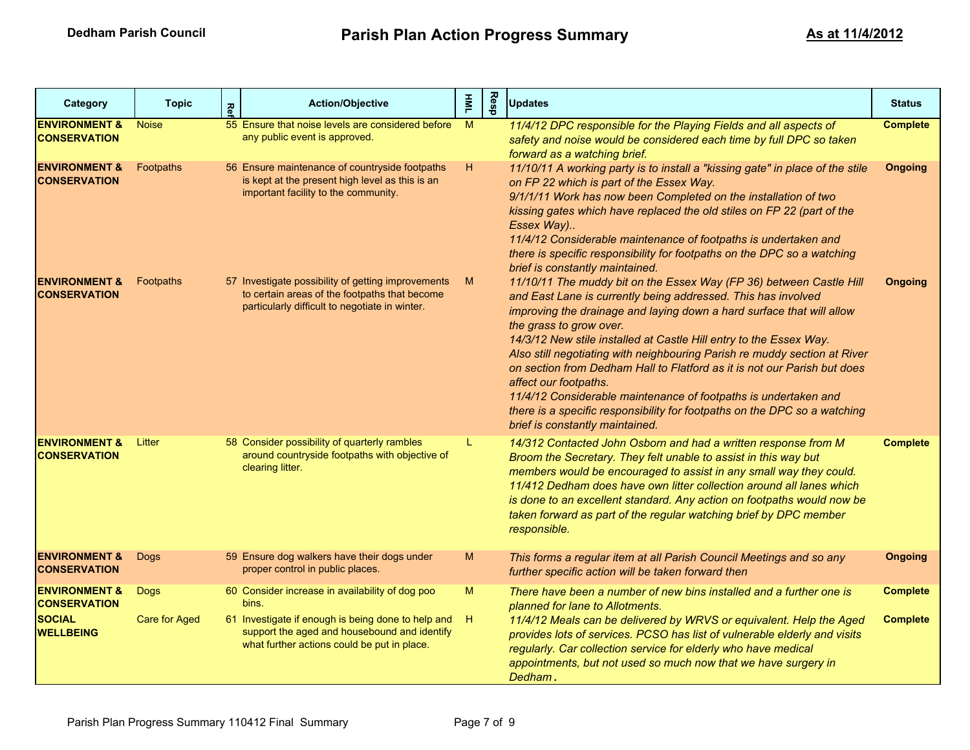| Category                                                                             | <b>Topic</b>                 | Κeι | <b>Action/Objective</b>                                                                                                                                                                                       | $\overline{\mathsf{s}}$ | Resp | <b>Updates</b>                                                                                                                                                                                                                                                                                                                                                                                                                                                                                                                                                                                                                                                                      | <b>Status</b>                      |
|--------------------------------------------------------------------------------------|------------------------------|-----|---------------------------------------------------------------------------------------------------------------------------------------------------------------------------------------------------------------|-------------------------|------|-------------------------------------------------------------------------------------------------------------------------------------------------------------------------------------------------------------------------------------------------------------------------------------------------------------------------------------------------------------------------------------------------------------------------------------------------------------------------------------------------------------------------------------------------------------------------------------------------------------------------------------------------------------------------------------|------------------------------------|
| <b>ENVIRONMENT &amp;</b><br><b>CONSERVATION</b>                                      | <b>Noise</b>                 |     | 55 Ensure that noise levels are considered before<br>any public event is approved.                                                                                                                            | M                       |      | 11/4/12 DPC responsible for the Playing Fields and all aspects of<br>safety and noise would be considered each time by full DPC so taken<br>forward as a watching brief.                                                                                                                                                                                                                                                                                                                                                                                                                                                                                                            | <b>Complete</b>                    |
| <b>ENVIRONMENT &amp;</b><br><b>CONSERVATION</b>                                      | Footpaths                    |     | 56 Ensure maintenance of countryside footpaths<br>is kept at the present high level as this is an<br>important facility to the community.                                                                     | Η.                      |      | 11/10/11 A working party is to install a "kissing gate" in place of the stile<br>on FP 22 which is part of the Essex Way.<br>9/1/1/11 Work has now been Completed on the installation of two<br>kissing gates which have replaced the old stiles on FP 22 (part of the<br>Essex Way)<br>11/4/12 Considerable maintenance of footpaths is undertaken and<br>there is specific responsibility for footpaths on the DPC so a watching<br>brief is constantly maintained.                                                                                                                                                                                                               | <b>Ongoing</b>                     |
| <b>ENVIRONMENT &amp;</b><br><b>CONSERVATION</b>                                      | Footpaths                    |     | 57 Investigate possibility of getting improvements<br>to certain areas of the footpaths that become<br>particularly difficult to negotiate in winter.                                                         | M                       |      | 11/10/11 The muddy bit on the Essex Way (FP 36) between Castle Hill<br>and East Lane is currently being addressed. This has involved<br>improving the drainage and laying down a hard surface that will allow<br>the grass to grow over.<br>14/3/12 New stile installed at Castle Hill entry to the Essex Way.<br>Also still negotiating with neighbouring Parish re muddy section at River<br>on section from Dedham Hall to Flatford as it is not our Parish but does<br>affect our footpaths.<br>11/4/12 Considerable maintenance of footpaths is undertaken and<br>there is a specific responsibility for footpaths on the DPC so a watching<br>brief is constantly maintained. | <b>Ongoing</b>                     |
| <b>ENVIRONMENT &amp;</b><br><b>CONSERVATION</b>                                      | Litter                       |     | 58 Consider possibility of quarterly rambles<br>around countryside footpaths with objective of<br>clearing litter.                                                                                            | L.                      |      | 14/312 Contacted John Osborn and had a written response from M<br>Broom the Secretary. They felt unable to assist in this way but<br>members would be encouraged to assist in any small way they could.<br>11/412 Dedham does have own litter collection around all lanes which<br>is done to an excellent standard. Any action on footpaths would now be<br>taken forward as part of the regular watching brief by DPC member<br>responsible.                                                                                                                                                                                                                                      | <b>Complete</b>                    |
| <b>ENVIRONMENT &amp;</b><br><b>CONSERVATION</b>                                      | <b>Dogs</b>                  |     | 59 Ensure dog walkers have their dogs under<br>proper control in public places.                                                                                                                               | M                       |      | This forms a regular item at all Parish Council Meetings and so any<br>further specific action will be taken forward then                                                                                                                                                                                                                                                                                                                                                                                                                                                                                                                                                           | <b>Ongoing</b>                     |
| <b>ENVIRONMENT &amp;</b><br><b>CONSERVATION</b><br><b>SOCIAL</b><br><b>WELLBEING</b> | <b>Dogs</b><br>Care for Aged |     | 60 Consider increase in availability of dog poo<br>bins.<br>61 Investigate if enough is being done to help and<br>support the aged and housebound and identify<br>what further actions could be put in place. | M<br>H.                 |      | There have been a number of new bins installed and a further one is<br>planned for lane to Allotments.<br>11/4/12 Meals can be delivered by WRVS or equivalent. Help the Aged<br>provides lots of services. PCSO has list of vulnerable elderly and visits<br>regularly. Car collection service for elderly who have medical<br>appointments, but not used so much now that we have surgery in<br>Dedham.                                                                                                                                                                                                                                                                           | <b>Complete</b><br><b>Complete</b> |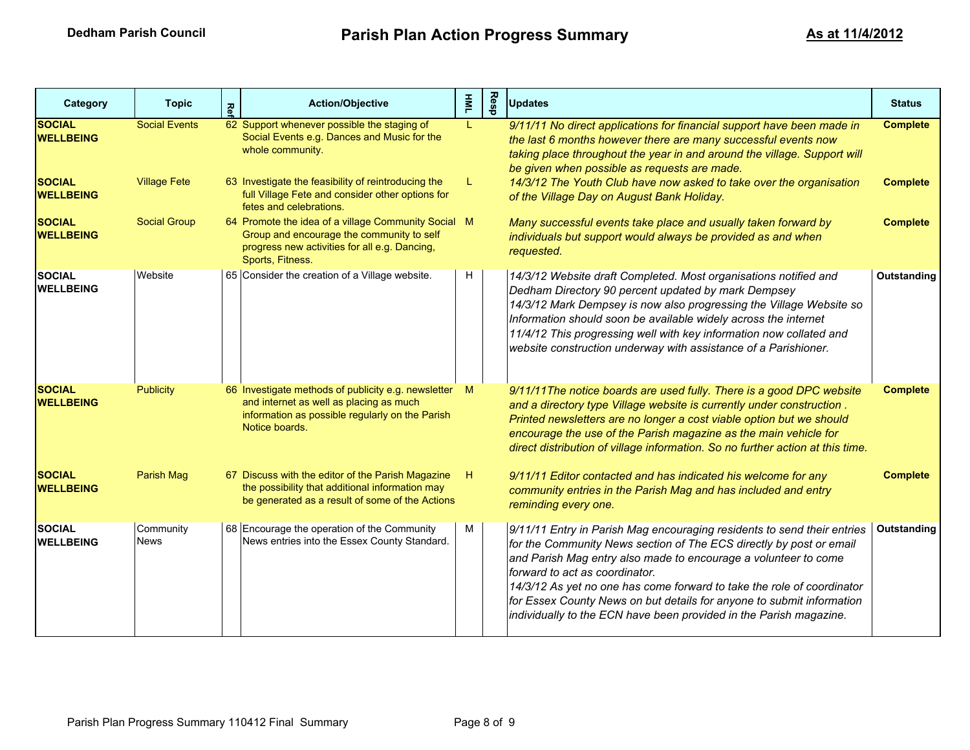| Category                          | <b>Topic</b>             | <b>Ref</b> | <b>Action/Objective</b>                                                                                                                                               | 홀  | Resp | <b>Updates</b>                                                                                                                                                                                                                                                                                                                                                                                                                                                               | <b>Status</b>   |
|-----------------------------------|--------------------------|------------|-----------------------------------------------------------------------------------------------------------------------------------------------------------------------|----|------|------------------------------------------------------------------------------------------------------------------------------------------------------------------------------------------------------------------------------------------------------------------------------------------------------------------------------------------------------------------------------------------------------------------------------------------------------------------------------|-----------------|
| <b>SOCIAL</b><br><b>WELLBEING</b> | <b>Social Events</b>     |            | 62 Support whenever possible the staging of<br>Social Events e.g. Dances and Music for the<br>whole community.                                                        | L  |      | 9/11/11 No direct applications for financial support have been made in<br>the last 6 months however there are many successful events now<br>taking place throughout the year in and around the village. Support will<br>be given when possible as requests are made.                                                                                                                                                                                                         | <b>Complete</b> |
| <b>SOCIAL</b><br><b>WELLBEING</b> | <b>Village Fete</b>      |            | 63 Investigate the feasibility of reintroducing the<br>full Village Fete and consider other options for<br>fetes and celebrations.                                    | L  |      | 14/3/12 The Youth Club have now asked to take over the organisation<br>of the Village Day on August Bank Holiday.                                                                                                                                                                                                                                                                                                                                                            | <b>Complete</b> |
| <b>SOCIAL</b><br><b>WELLBEING</b> | <b>Social Group</b>      |            | 64 Promote the idea of a village Community Social M<br>Group and encourage the community to self<br>progress new activities for all e.g. Dancing,<br>Sports, Fitness. |    |      | Many successful events take place and usually taken forward by<br>individuals but support would always be provided as and when<br>requested.                                                                                                                                                                                                                                                                                                                                 | <b>Complete</b> |
| <b>SOCIAL</b><br><b>WELLBEING</b> | Website                  |            | 65 Consider the creation of a Village website.                                                                                                                        | H  |      | 14/3/12 Website draft Completed. Most organisations notified and<br>Dedham Directory 90 percent updated by mark Dempsey<br>14/3/12 Mark Dempsey is now also progressing the Village Website so<br>Information should soon be available widely across the internet<br>11/4/12 This progressing well with key information now collated and<br>website construction underway with assistance of a Parishioner.                                                                  | Outstanding     |
| <b>SOCIAL</b><br><b>WELLBEING</b> | <b>Publicity</b>         |            | 66 Investigate methods of publicity e.g. newsletter M<br>and internet as well as placing as much<br>information as possible regularly on the Parish<br>Notice boards. |    |      | 9/11/11The notice boards are used fully. There is a good DPC website<br>and a directory type Village website is currently under construction.<br>Printed newsletters are no longer a cost viable option but we should<br>encourage the use of the Parish magazine as the main vehicle for<br>direct distribution of village information. So no further action at this time.                                                                                                  | <b>Complete</b> |
| <b>SOCIAL</b><br><b>WELLBEING</b> | Parish Mag               |            | 67 Discuss with the editor of the Parish Magazine<br>the possibility that additional information may<br>be generated as a result of some of the Actions               | H. |      | 9/11/11 Editor contacted and has indicated his welcome for any<br>community entries in the Parish Mag and has included and entry<br>reminding every one.                                                                                                                                                                                                                                                                                                                     | <b>Complete</b> |
| <b>SOCIAL</b><br><b>WELLBEING</b> | Community<br><b>News</b> |            | 68 Encourage the operation of the Community<br>News entries into the Essex County Standard.                                                                           | М  |      | 9/11/11 Entry in Parish Mag encouraging residents to send their entries<br>for the Community News section of The ECS directly by post or email<br>and Parish Mag entry also made to encourage a volunteer to come<br>forward to act as coordinator.<br>14/3/12 As yet no one has come forward to take the role of coordinator<br>for Essex County News on but details for anyone to submit information<br>individually to the ECN have been provided in the Parish magazine. | Outstanding     |